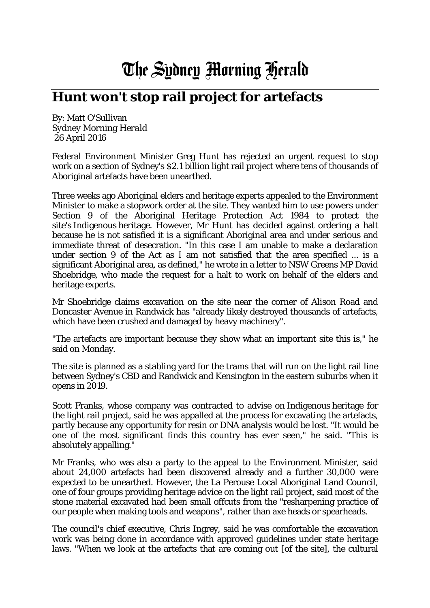## The Sydney Morning Herald

## **Hunt won't stop rail project for artefacts**

By: Matt O'Sullivan *Sydney Morning Herald* 26 April 2016

Federal Environment Minister Greg Hunt has rejected an urgent request to stop work on a section of Sydney's \$2.1 billion light rail project where tens of thousands of Aboriginal artefacts have been unearthed.

Three weeks ago Aboriginal elders and heritage experts appealed to the Environment Minister to make a stopwork order at the site. They wanted him to use powers under Section 9 of the Aboriginal Heritage Protection Act 1984 to protect the site's Indigenous heritage. However, Mr Hunt has decided against ordering a halt because he is not satisfied it is a significant Aboriginal area and under serious and immediate threat of desecration. "In this case I am unable to make a declaration under section 9 of the Act as I am not satisfied that the area specified ... is a significant Aboriginal area, as defined," he wrote in a letter to NSW Greens MP David Shoebridge, who made the request for a halt to work on behalf of the elders and heritage experts.

Mr Shoebridge claims excavation on the site near the corner of Alison Road and Doncaster Avenue in Randwick has "already likely destroyed thousands of artefacts, which have been crushed and damaged by heavy machinery".

"The artefacts are important because they show what an important site this is," he said on Monday.

The site is planned as a stabling yard for the trams that will run on the light rail line between Sydney's CBD and Randwick and Kensington in the eastern suburbs when it opens in 2019.

Scott Franks, whose company was contracted to advise on Indigenous heritage for the light rail project, said he was appalled at the process for excavating the artefacts, partly because any opportunity for resin or DNA analysis would be lost. "It would be one of the most significant finds this country has ever seen," he said. "This is absolutely appalling."

Mr Franks, who was also a party to the appeal to the Environment Minister, said about 24,000 artefacts had been discovered already and a further 30,000 were expected to be unearthed. However, the La Perouse Local Aboriginal Land Council, one of four groups providing heritage advice on the light rail project, said most of the stone material excavated had been small offcuts from the "resharpening practice of our people when making tools and weapons", rather than axe heads or spearheads.

The council's chief executive, Chris Ingrey, said he was comfortable the excavation work was being done in accordance with approved guidelines under state heritage laws. "When we look at the artefacts that are coming out [of the site], the cultural